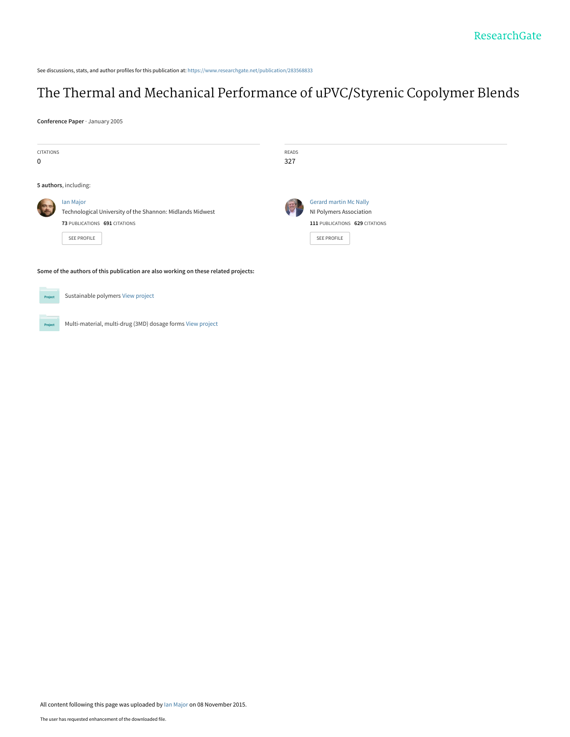See discussions, stats, and author profiles for this publication at: [https://www.researchgate.net/publication/283568833](https://www.researchgate.net/publication/283568833_The_Thermal_and_Mechanical_Performance_of_uPVCStyrenic_Copolymer_Blends?enrichId=rgreq-776f7e3107718bf567475c6a1bcb3753-XXX&enrichSource=Y292ZXJQYWdlOzI4MzU2ODgzMztBUzoyOTM1NjIzNDUzNzc3OTJAMTQ0NzAwMjEyNTQwNQ%3D%3D&el=1_x_2&_esc=publicationCoverPdf)

# [The Thermal and Mechanical Performance of uPVC/Styrenic Copolymer Blends](https://www.researchgate.net/publication/283568833_The_Thermal_and_Mechanical_Performance_of_uPVCStyrenic_Copolymer_Blends?enrichId=rgreq-776f7e3107718bf567475c6a1bcb3753-XXX&enrichSource=Y292ZXJQYWdlOzI4MzU2ODgzMztBUzoyOTM1NjIzNDUzNzc3OTJAMTQ0NzAwMjEyNTQwNQ%3D%3D&el=1_x_3&_esc=publicationCoverPdf)

**Conference Paper** · January 2005

| CITATIONS<br>0                                                                      |                                                                                                                        | READS<br>327 |                                                                                                           |  |
|-------------------------------------------------------------------------------------|------------------------------------------------------------------------------------------------------------------------|--------------|-----------------------------------------------------------------------------------------------------------|--|
| 5 authors, including:                                                               |                                                                                                                        |              |                                                                                                           |  |
|                                                                                     | lan Major<br>Technological University of the Shannon: Midlands Midwest<br>73 PUBLICATIONS 691 CITATIONS<br>SEE PROFILE |              | <b>Gerard martin Mc Nally</b><br>NI Polymers Association<br>111 PUBLICATIONS 629 CITATIONS<br>SEE PROFILE |  |
| Some of the authors of this publication are also working on these related projects: |                                                                                                                        |              |                                                                                                           |  |
| Project                                                                             | Sustainable polymers View project                                                                                      |              |                                                                                                           |  |

Multi-material, multi-drug (3MD) dosage forms [View project](https://www.researchgate.net/project/Multi-material-multi-drug-3MD-dosage-forms?enrichId=rgreq-776f7e3107718bf567475c6a1bcb3753-XXX&enrichSource=Y292ZXJQYWdlOzI4MzU2ODgzMztBUzoyOTM1NjIzNDUzNzc3OTJAMTQ0NzAwMjEyNTQwNQ%3D%3D&el=1_x_9&_esc=publicationCoverPdf) Project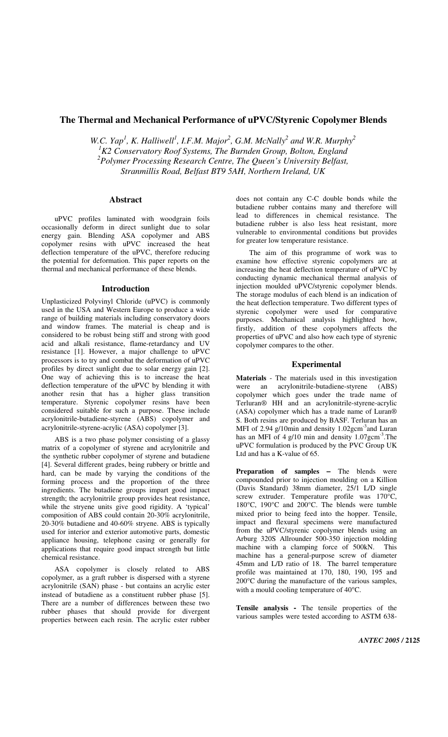## **The Thermal and Mechanical Performance of uPVC/Styrenic Copolymer Blends**

*W.C. Yap<sup>1</sup>*, *K. Halliwell<sup>1</sup>*, *I.F.M. Major*<sup>2</sup>, *G.M. McNally*<sup>2</sup> *and W.R. Murphy*<sup>2</sup> <sup>1</sup>K<sub>2</sub> Conservatory Roof Systems, The Burnden Group, Bolton, England *2 Polymer Processing Research Centre, The Queen's University Belfast, Stranmillis Road, Belfast BT9 5AH, Northern Ireland, UK* 

## **Abstract**

uPVC profiles laminated with woodgrain foils occasionally deform in direct sunlight due to solar energy gain. Blending ASA copolymer and ABS copolymer resins with uPVC increased the heat deflection temperature of the uPVC, therefore reducing the potential for deformation. This paper reports on the thermal and mechanical performance of these blends.

### **Introduction**

Unplasticized Polyvinyl Chloride (uPVC) is commonly used in the USA and Western Europe to produce a wide range of building materials including conservatory doors and window frames. The material is cheap and is considered to be robust being stiff and strong with good acid and alkali resistance, flame-retardancy and UV resistance [1]. However, a major challenge to uPVC processors is to try and combat the deformation of uPVC profiles by direct sunlight due to solar energy gain [2]. One way of achieving this is to increase the heat deflection temperature of the uPVC by blending it with another resin that has a higher glass transition temperature. Styrenic copolymer resins have been considered suitable for such a purpose. These include acrylonitrile-butadiene-styrene (ABS) copolymer and acrylonitrile-styrene-acrylic (ASA) copolymer [3].

ABS is a two phase polymer consisting of a glassy matrix of a copolymer of styrene and acrylonitrile and the synthetic rubber copolymer of styrene and butadiene [4]. Several different grades, being rubbery or brittle and hard, can be made by varying the conditions of the forming process and the proportion of the three ingredients. The butadiene groups impart good impact strength; the acrylonitrile group provides heat resistance, while the stryene units give good rigidity. A 'typical' composition of ABS could contain 20-30% acrylonitrile, 20-30% butadiene and 40-60% stryene. ABS is typically used for interior and exterior automotive parts, domestic appliance housing, telephone casing or generally for applications that require good impact strength but little chemical resistance.

ASA copolymer is closely related to ABS copolymer, as a graft rubber is dispersed with a styrene acrylonitrile (SAN) phase - but contains an acrylic ester instead of butadiene as a constituent rubber phase [5]. There are a number of differences between these two rubber phases that should provide for divergent properties between each resin. The acrylic ester rubber does not contain any C-C double bonds while the butadiene rubber contains many and therefore will lead to differences in chemical resistance. The butadiene rubber is also less heat resistant, more vulnerable to environmental conditions but provides for greater low temperature resistance.

 The aim of this programme of work was to examine how effective styrenic copolymers are at increasing the heat deflection temperature of uPVC by conducting dynamic mechanical thermal analysis of injection moulded uPVC/styrenic copolymer blends. The storage modulus of each blend is an indication of the heat deflection temperature. Two different types of styrenic copolymer were used for comparative purposes. Mechanical analysis highlighted how, firstly, addition of these copolymers affects the properties of uPVC and also how each type of styrenic copolymer compares to the other.

## **Experimental**

**Materials** - The materials used in this investigation were an acrylonitrile-butadiene-styrene (ABS) copolymer which goes under the trade name of Terluran® HH and an acrylonitrile-styrene-acrylic (ASA) copolymer which has a trade name of Luran® S. Both resins are produced by BASF. Terluran has an MFI of 2.94 g/10min and density 1.02gcm<sup>-3</sup>and Luran has an MFI of  $4 \frac{g}{10}$  min and density 1.07gcm<sup>-3</sup>.The uPVC formulation is produced by the PVC Group UK Ltd and has a K-value of 65.

**Preparation of samples –** The blends were compounded prior to injection moulding on a Killion (Davis Standard) 38mm diameter, 25/1 L/D single screw extruder. Temperature profile was 170°C, 180°C, 190°C and 200°C. The blends were tumble mixed prior to being feed into the hopper. Tensile, impact and flexural specimens were manufactured from the uPVC/styrenic copolymer blends using an Arburg 320S Allrounder 500-350 injection molding machine with a clamping force of 500kN. This machine has a general-purpose screw of diameter 45mm and L/D ratio of 18. The barrel temperature profile was maintained at 170, 180, 190, 195 and 200°C during the manufacture of the various samples, with a mould cooling temperature of 40°C.

**Tensile analysis -** The tensile properties of the various samples were tested according to ASTM 638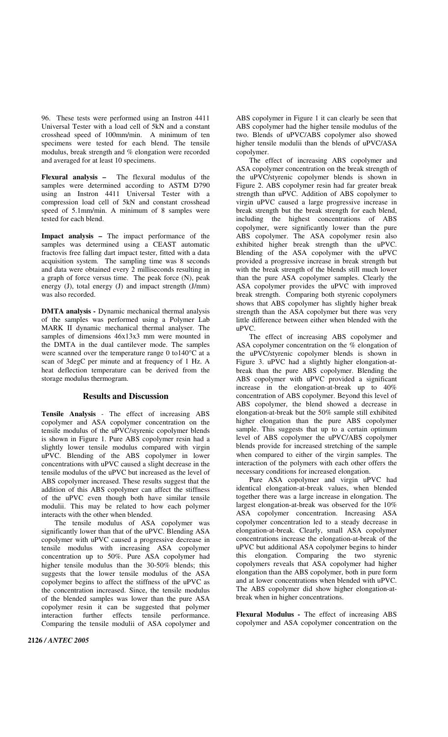96. These tests were performed using an Instron 4411 Universal Tester with a load cell of 5kN and a constant crosshead speed of 100mm/min. A minimum of ten specimens were tested for each blend. The tensile modulus, break strength and % elongation were recorded and averaged for at least 10 specimens.

**Flexural analysis –** The flexural modulus of the samples were determined according to ASTM D790 using an Instron 4411 Universal Tester with a compression load cell of 5kN and constant crosshead speed of 5.1mm/min. A minimum of 8 samples were tested for each blend.

**Impact analysis –** The impact performance of the samples was determined using a CEAST automatic fractovis free falling dart impact tester, fitted with a data acquisition system. The sampling time was 8 seconds and data were obtained every 2 milliseconds resulting in a graph of force versus time. The peak force (N), peak energy (J), total energy (J) and impact strength (J/mm) was also recorded.

**DMTA analysis -** Dynamic mechanical thermal analysis of the samples was performed using a Polymer Lab MARK II dynamic mechanical thermal analyser. The samples of dimensions 46x13x3 mm were mounted in the DMTA in the dual cantilever mode. The samples were scanned over the temperature range 0 to140°C at a scan of 3degC per minute and at frequency of 1 Hz. A heat deflection temperature can be derived from the storage modulus thermogram.

## **Results and Discussion**

**Tensile Analysis** *-* The effect of increasing ABS copolymer and ASA copolymer concentration on the tensile modulus of the uPVC/styrenic copolymer blends is shown in Figure 1. Pure ABS copolymer resin had a slightly lower tensile modulus compared with virgin uPVC. Blending of the ABS copolymer in lower concentrations with uPVC caused a slight decrease in the tensile modulus of the uPVC but increased as the level of ABS copolymer increased. These results suggest that the addition of this ABS copolymer can affect the stiffness of the uPVC even though both have similar tensile modulii. This may be related to how each polymer interacts with the other when blended.

 The tensile modulus of ASA copolymer was significantly lower than that of the uPVC. Blending ASA copolymer with uPVC caused a progressive decrease in tensile modulus with increasing ASA copolymer concentration up to 50%. Pure ASA copolymer had higher tensile modulus than the 30-50% blends; this suggests that the lower tensile modulus of the ASA copolymer begins to affect the stiffness of the uPVC as the concentration increased. Since, the tensile modulus of the blended samples was lower than the pure ASA copolymer resin it can be suggested that polymer interaction further effects tensile performance. Comparing the tensile modulii of ASA copolymer and

ABS copolymer in Figure 1 it can clearly be seen that ABS copolymer had the higher tensile modulus of the two. Blends of uPVC/ABS copolymer also showed higher tensile modulii than the blends of uPVC/ASA copolymer.

 The effect of increasing ABS copolymer and ASA copolymer concentration on the break strength of the uPVC/styrenic copolymer blends is shown in Figure 2. ABS copolymer resin had far greater break strength than uPVC. Addition of ABS copolymer to virgin uPVC caused a large progressive increase in break strength but the break strength for each blend, including the highest concentrations of ABS copolymer, were significantly lower than the pure ABS copolymer. The ASA copolymer resin also exhibited higher break strength than the uPVC. Blending of the ASA copolymer with the uPVC provided a progressive increase in break strength but with the break strength of the blends still much lower than the pure ASA copolymer samples. Clearly the ASA copolymer provides the uPVC with improved break strength. Comparing both styrenic copolymers shows that ABS copolymer has slightly higher break strength than the ASA copolymer but there was very little difference between either when blended with the uPVC.

 The effect of increasing ABS copolymer and ASA copolymer concentration on the % elongation of the uPVC/styrenic copolymer blends is shown in Figure 3. uPVC had a slightly higher elongation-atbreak than the pure ABS copolymer. Blending the ABS copolymer with uPVC provided a significant increase in the elongation-at-break up to 40% concentration of ABS copolymer. Beyond this level of ABS copolymer, the blend showed a decrease in elongation-at-break but the 50% sample still exhibited higher elongation than the pure ABS copolymer sample. This suggests that up to a certain optimum level of ABS copolymer the uPVC/ABS copolymer blends provide for increased stretching of the sample when compared to either of the virgin samples. The interaction of the polymers with each other offers the necessary conditions for increased elongation.

Pure ASA copolymer and virgin uPVC had identical elongation-at-break values, when blended together there was a large increase in elongation. The largest elongation-at-break was observed for the 10% ASA copolymer concentration. Increasing ASA copolymer concentration led to a steady decrease in elongation-at-break. Clearly, small ASA copolymer concentrations increase the elongation-at-break of the uPVC but additional ASA copolymer begins to hinder this elongation. Comparing the two styrenic copolymers reveals that ASA copolymer had higher elongation than the ABS copolymer, both in pure form and at lower concentrations when blended with uPVC. The ABS copolymer did show higher elongation-atbreak when in higher concentrations.

**Flexural Modulus -** The effect of increasing ABS copolymer and ASA copolymer concentration on the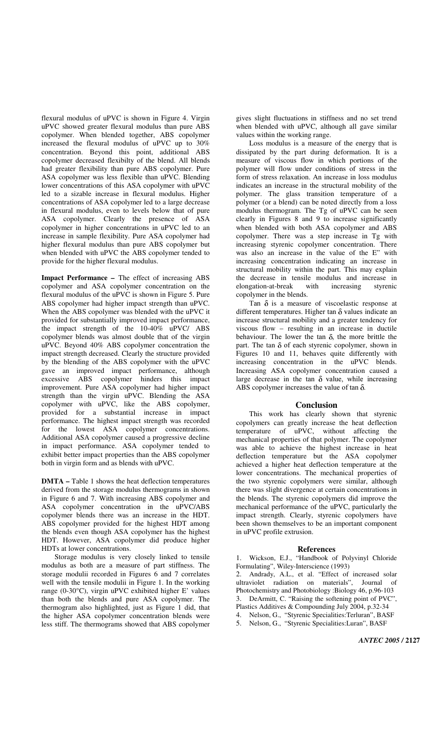flexural modulus of uPVC is shown in Figure 4. Virgin uPVC showed greater flexural modulus than pure ABS copolymer. When blended together, ABS copolymer increased the flexural modulus of uPVC up to 30% concentration. Beyond this point, additional ABS copolymer decreased flexibilty of the blend. All blends had greater flexibility than pure ABS copolymer. Pure ASA copolymer was less flexible than uPVC. Blending lower concentrations of this ASA copolymer with uPVC led to a sizable increase in flexural modulus. Higher concentrations of ASA copolymer led to a large decrease in flexural modulus, even to levels below that of pure ASA copolymer. Clearly the presence of ASA copolymer in higher concentrations in uPVC led to an increase in sample flexibility. Pure ASA copolymer had higher flexural modulus than pure ABS copolymer but when blended with uPVC the ABS copolymer tended to provide for the higher flexural modulus.

**Impact Performance –** The effect of increasing ABS copolymer and ASA copolymer concentration on the flexural modulus of the uPVC is shown in Figure 5. Pure ABS copolymer had higher impact strength than uPVC. When the ABS copolymer was blended with the uPVC it provided for substantially improved impact performance, the impact strength of the 10-40% uPVC/ ABS copolymer blends was almost double that of the virgin uPVC. Beyond 40% ABS copolymer concentration the impact strength decreased. Clearly the structure provided by the blending of the ABS copolymer with the uPVC gave an improved impact performance, although excessive ABS copolymer hinders this impact improvement. Pure ASA copolymer had higher impact strength than the virgin uPVC. Blending the ASA copolymer with uPVC, like the ABS copolymer, provided for a substantial increase in impact performance. The highest impact strength was recorded for the lowest ASA copolymer concentrations. Additional ASA copolymer caused a progressive decline in impact performance. ASA copolymer tended to exhibit better impact properties than the ABS copolymer both in virgin form and as blends with uPVC.

**DMTA –** Table 1 shows the heat deflection temperatures derived from the storage modulus thermograms in shown in Figure 6 and 7. With increasing ABS copolymer and ASA copolymer concentration in the uPVC/ABS copolymer blends there was an increase in the HDT. ABS copolymer provided for the highest HDT among the blends even though ASA copolymer has the highest HDT. However, ASA copolymer did produce higher HDTs at lower concentrations.

 Storage modulus is very closely linked to tensile modulus as both are a measure of part stiffness. The storage modulii recorded in Figures 6 and 7 correlates well with the tensile modulii in Figure 1. In the working range (0-30°C), virgin uPVC exhibited higher E' values than both the blends and pure ASA copolymer. The thermogram also highlighted, just as Figure 1 did, that the higher ASA copolymer concentration blends were less stiff. The thermograms showed that ABS copolymer

gives slight fluctuations in stiffness and no set trend when blended with uPVC, although all gave similar values within the working range.

 Loss modulus is a measure of the energy that is dissipated by the part during deformation. It is a measure of viscous flow in which portions of the polymer will flow under conditions of stress in the form of stress relaxation. An increase in loss modulus indicates an increase in the structural mobility of the polymer. The glass transition temperature of a polymer (or a blend) can be noted directly from a loss modulus thermogram. The Tg of uPVC can be seen clearly in Figures 8 and 9 to increase significantly when blended with both ASA copolymer and ABS copolymer. There was a step increase in Tg with increasing styrenic copolymer concentration. There was also an increase in the value of the E" with increasing concentration indicating an increase in structural mobility within the part. This may explain the decrease in tensile modulus and increase in elongation-at-break with increasing styrenic copolymer in the blends.

Tan  $\delta$  is a measure of viscoelastic response at different temperatures. Higher tan  $\delta$  values indicate an increase structural mobility and a greater tendency for viscous flow – resulting in an increase in ductile behaviour. The lower the tan  $\delta$ , the more brittle the part. The tan  $\delta$  of each styrenic copolymer, shown in Figures 10 and 11, behaves quite differently with increasing concentration in the uPVC blends. Increasing ASA copolymer concentration caused a large decrease in the tan  $\delta$  value, while increasing ABS copolymer increases the value of tan  $\delta$ .

### **Conclusion**

This work has clearly shown that styrenic copolymers can greatly increase the heat deflection temperature of uPVC, without affecting the mechanical properties of that polymer. The copolymer was able to achieve the highest increase in heat deflection temperature but the ASA copolymer achieved a higher heat deflection temperature at the lower concentrations. The mechanical properties of the two styrenic copolymers were similar, although there was slight divergence at certain concentrations in the blends. The styrenic copolymers did improve the mechanical performance of the uPVC, particularly the impact strength. Clearly, styrenic copolymers have been shown themselves to be an important component in uPVC profile extrusion.

#### **References**

1. Wickson, E.J., "Handbook of Polyvinyl Chloride Formulating", Wiley-Interscience (1993)

2. Andrady, A.L., et al. "Effect of increased solar ultraviolet radiation on materials", Journal of Photochemistry and Photobiology :Biology 46, p.96-103 3. DeArmitt, C. "Raising the softening point of PVC",

- Plastics Additives & Compounding July 2004, p.32-34
- 4. Nelson, G., "Styrenic Specialities:Terluran", BASF
- 5. Nelson, G., "Styrenic Specialities:Luran", BASF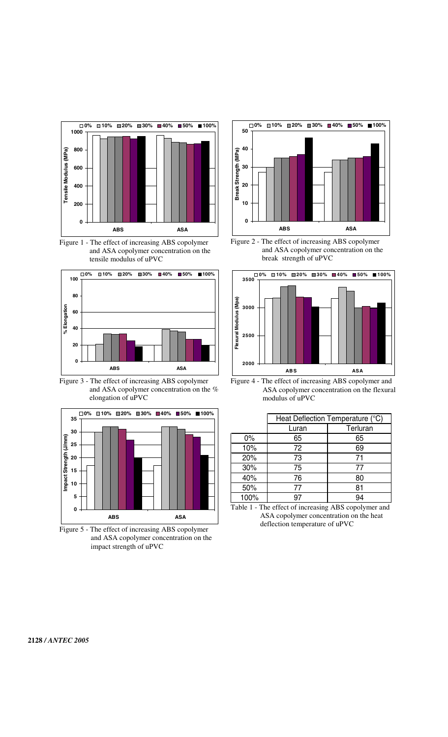

Figure 1 - The effect of increasing ABS copolymer and ASA copolymer concentration on the tensile modulus of uPVC



Figure 3 - The effect of increasing ABS copolymer and ASA copolymer concentration on the % elongation of uPVC



Figure 5 - The effect of increasing ABS copolymer and ASA copolymer concentration on the impact strength of uPVC



Figure 2 - The effect of increasing ABS copolymer and ASA copolymer concentration on the break strength of uPVC



Figure 4 - The effect of increasing ABS copolymer and ASA copolymer concentration on the flexural modulus of uPVC

|       | Heat Deflection Temperature (°C) |          |  |
|-------|----------------------------------|----------|--|
|       | Luran                            | Terluran |  |
| $0\%$ | 65                               | 65       |  |
| 10%   | 72                               | 69       |  |
| 20%   | 73                               | 71       |  |
| 30%   | 75                               | 77       |  |
| 40%   | 76                               | 80       |  |
| 50%   | 77                               | 81       |  |
| 100%  |                                  | 94       |  |

Table 1 - The effect of increasing ABS copolymer and ASA copolymer concentration on the heat deflection temperature of uPVC